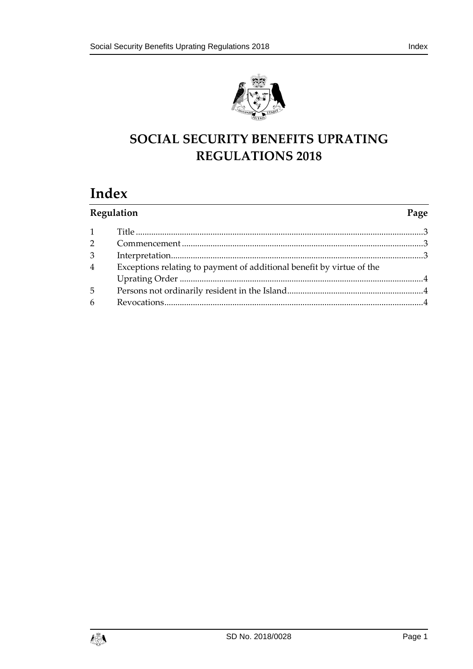



# **SOCIAL SECURITY BENEFITS UPRATING REGULATIONS 2018**

# **Index**

| Regulation     |                                                                       | Page |
|----------------|-----------------------------------------------------------------------|------|
| 1              |                                                                       |      |
| $\overline{2}$ |                                                                       |      |
| $\mathfrak{Z}$ |                                                                       |      |
| $\overline{4}$ | Exceptions relating to payment of additional benefit by virtue of the |      |
|                |                                                                       |      |
| 5              |                                                                       |      |
| 6              |                                                                       |      |

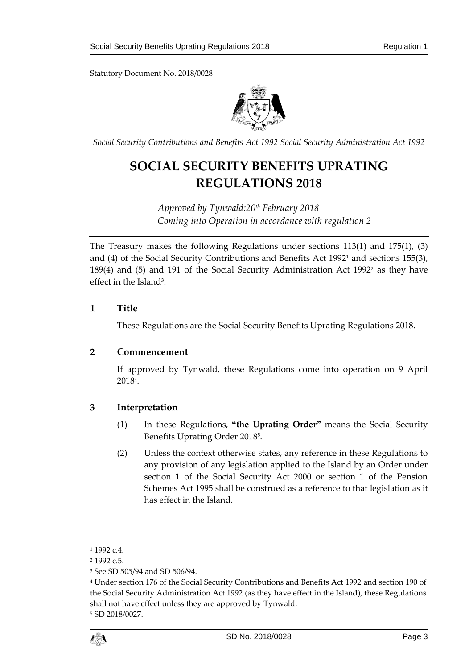

*Social Security Contributions and Benefits Act 1992 Social Security Administration Act 1992*

# **SOCIAL SECURITY BENEFITS UPRATING REGULATIONS 2018**

*Approved by Tynwald:20th February 2018 Coming into Operation in accordance with regulation 2*

The Treasury makes the following Regulations under sections 113(1) and 175(1), (3) and (4) of the Social Security Contributions and Benefits Act 1992<sup>1</sup> and sections 155(3), 189(4) and (5) and 191 of the Social Security Administration Act 1992<sup>2</sup> as they have effect in the Island<sup>3</sup>.

### <span id="page-2-0"></span>**1 Title**

These Regulations are the Social Security Benefits Uprating Regulations 2018.

#### <span id="page-2-1"></span>**2 Commencement**

If approved by Tynwald, these Regulations come into operation on 9 April 2018<sup>4</sup> .

## <span id="page-2-2"></span>**3 Interpretation**

- (1) In these Regulations, **"the Uprating Order"** means the Social Security Benefits Uprating Order 2018<sup>5</sup> .
- (2) Unless the context otherwise states, any reference in these Regulations to any provision of any legislation applied to the Island by an Order under section 1 of the Social Security Act 2000 or section 1 of the Pension Schemes Act 1995 shall be construed as a reference to that legislation as it has effect in the Island.

1

<sup>1</sup> 1992 c.4.

<sup>2</sup> 1992 c.5.

<sup>3</sup> See SD 505/94 and SD 506/94.

<sup>4</sup> Under section 176 of the Social Security Contributions and Benefits Act 1992 and section 190 of the Social Security Administration Act 1992 (as they have effect in the Island), these Regulations shall not have effect unless they are approved by Tynwald. <sup>5</sup> SD 2018/0027.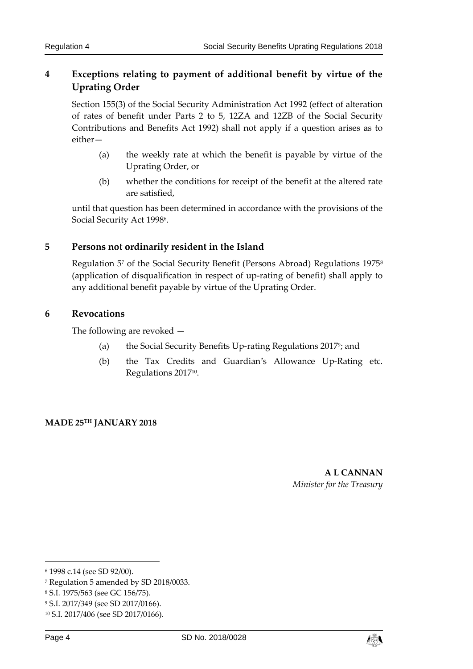## <span id="page-3-0"></span>**4 Exceptions relating to payment of additional benefit by virtue of the Uprating Order**

Section 155(3) of the Social Security Administration Act 1992 (effect of alteration of rates of benefit under Parts 2 to 5, 12ZA and 12ZB of the Social Security Contributions and Benefits Act 1992) shall not apply if a question arises as to either—

- (a) the weekly rate at which the benefit is payable by virtue of the Uprating Order, or
- (b) whether the conditions for receipt of the benefit at the altered rate are satisfied,

until that question has been determined in accordance with the provisions of the Social Security Act 1998<sup>6</sup> .

## <span id="page-3-1"></span>**5 Persons not ordinarily resident in the Island**

Regulation 5<sup>7</sup> of the Social Security Benefit (Persons Abroad) Regulations 1975<sup>8</sup> (application of disqualification in respect of up-rating of benefit) shall apply to any additional benefit payable by virtue of the Uprating Order.

### <span id="page-3-2"></span>**6 Revocations**

The following are revoked —

- (a) the Social Security Benefits Up-rating Regulations 2017<sup>9</sup>; and
- (b) the Tax Credits and Guardian's Allowance Up-Rating etc. Regulations 2017<sup>10</sup> .

#### **MADE 25TH JANUARY 2018**

**A L CANNAN** *Minister for the Treasury*

-



<sup>6</sup> 1998 c.14 (see SD 92/00).

<sup>7</sup> Regulation 5 amended by SD 2018/0033.

<sup>8</sup> S.I. 1975/563 (see GC 156/75).

<sup>9</sup> S.I. 2017/349 (see SD 2017/0166).

<sup>10</sup> S.I. 2017/406 (see SD 2017/0166).